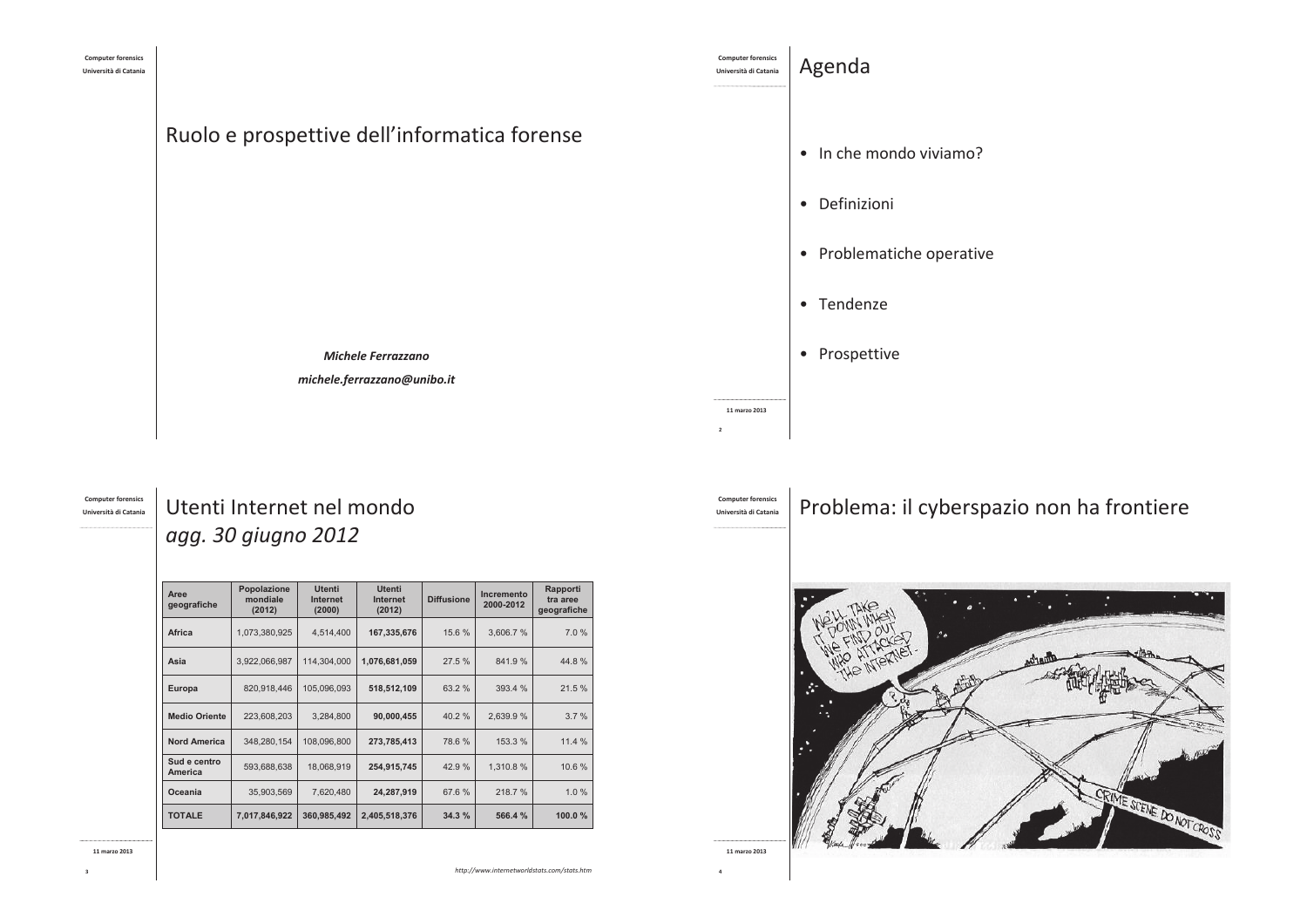

#### **Computer forensics** Università di Catania

# Utenti Internet nel mondo agg. 30 giugno 2012

| Aree<br>geografiche     | Popolazione<br>mondiale<br>(2012) | <b>Utenti</b><br>Internet<br>(2000) | <b>Utenti</b><br>Internet<br>(2012) | <b>Diffusione</b> | Incremento<br>2000-2012 | Rapporti<br>tra aree<br>geografiche |
|-------------------------|-----------------------------------|-------------------------------------|-------------------------------------|-------------------|-------------------------|-------------------------------------|
| Africa                  | 1,073,380,925                     | 4,514,400                           | 167,335,676                         | 15.6 %            | 3,606.7%                | 7.0%                                |
| Asia                    | 3,922,066,987                     | 114.304.000                         | 1,076,681,059                       | 27.5 %            | 841.9%                  | 44.8%                               |
| Europa                  | 820,918,446                       | 105,096,093                         | 518,512,109                         | 63.2 %            | 393.4 %                 | 21.5%                               |
| <b>Medio Oriente</b>    | 223.608.203                       | 3,284,800                           | 90,000,455                          | 40.2%             | 2,639.9%                | 3.7%                                |
| <b>Nord America</b>     | 348.280.154                       | 108.096.800                         | 273,785,413                         | 78.6%             | 153.3%                  | 11.4 %                              |
| Sud e centro<br>America | 593,688,638                       | 18,068,919                          | 254,915,745                         | 42.9 %            | 1,310.8%                | 10.6%                               |
| Oceania                 | 35,903,569                        | 7,620,480                           | 24,287,919                          | 67.6 %            | 218.7%                  | 1.0%                                |
| <b>TOTALE</b>           | 7,017,846,922                     | 360,985,492                         | 2,405,518,376                       | 34.3%             | 566.4 %                 | 100.0 $%$                           |

11 marzo 2013

http://www.internetworldstats.com/stats.htm

Problema: il cyberspazio non ha frontiere



**Computer forensic** 

Università di Catania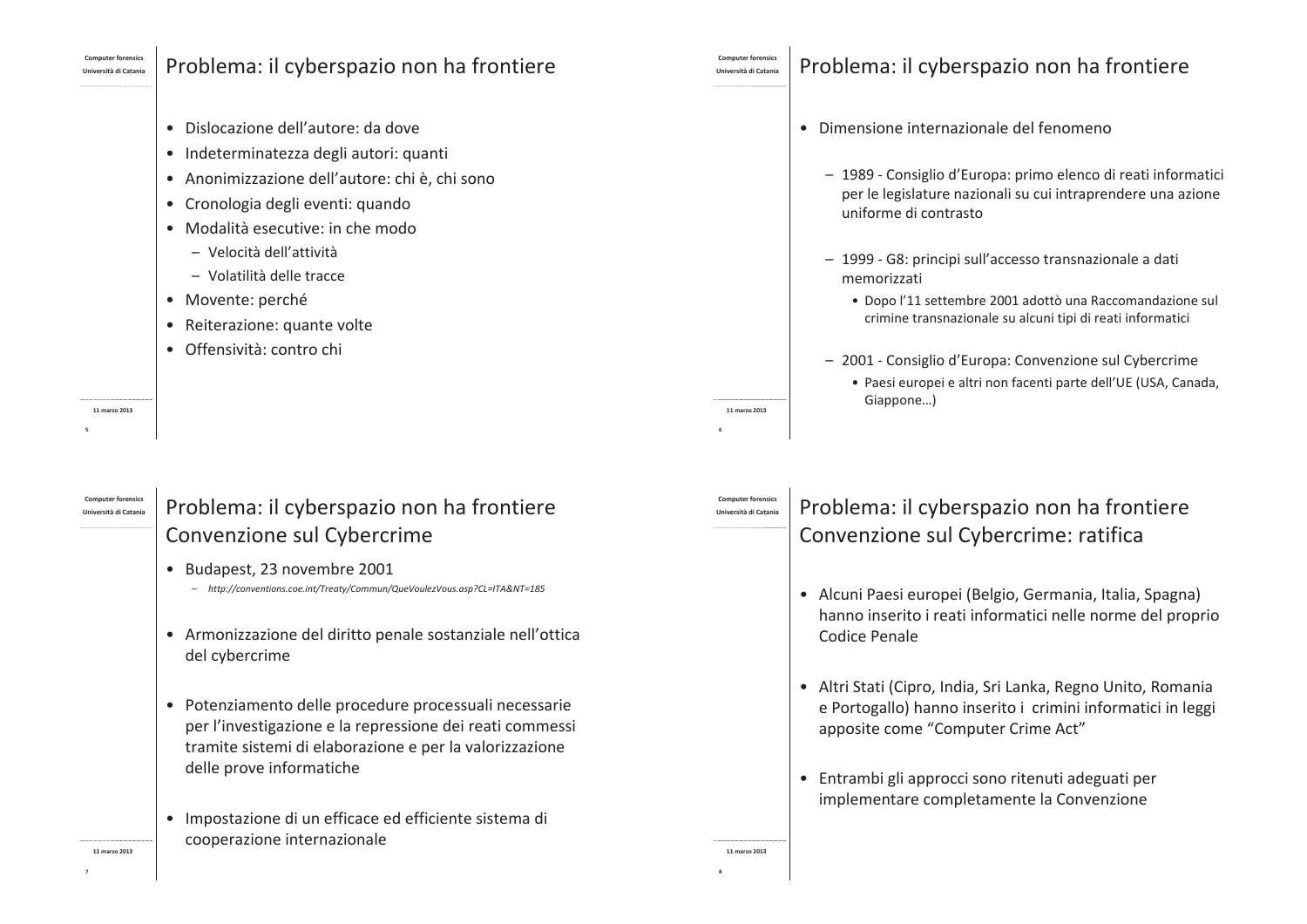## Problema: il cyberspazio non ha frontiere

- · Dislocazione dell'autore: da dove
- · Indeterminatezza degli autori: quanti
- · Anonimizzazione dell'autore: chi è, chi sono
- Cronologia degli eventi: quando
- · Modalità esecutive: in che modo
	- Velocità dell'attività
	- Volatilità delle tracce
- · Movente: perché
- Reiterazione: quante volte
- Offensività: contro chi

11 marzo 2013

#### l Iniversità di Catani

# Problema: il cyberspazio non ha frontiere Convenzione sul Cybercrime

- Budapest, 23 novembre 2001
	- http://conventions.coe.int/Treaty/Commun/QueVoulezVous.asp?CL=ITA&NT=185
- Armonizzazione del diritto penale sostanziale nell'ottica del cybercrime
- Potenziamento delle procedure processuali necessarie per l'investigazione e la repressione dei reati commessi tramite sistemi di elaborazione e per la valorizzazione delle prove informatiche
- · Impostazione di un efficace ed efficiente sistema di cooperazione internazionale

# Problema: il cyberspazio non ha frontiere

- · Dimensione internazionale del fenomeno
	- 1989 Consiglio d'Europa: primo elenco di reati informatici per le legislature nazionali su cui intraprendere una azione uniforme di contrasto
	- 1999 G8: principi sull'accesso transnazionale a dati memorizzati
		- · Dopo l'11 settembre 2001 adottò una Raccomandazione sul crimine transnazionale su alcuni tipi di reati informatici
	- 2001 Consiglio d'Europa: Convenzione sul Cybercrime
		- · Paesi europei e altri non facenti parte dell'UE (USA, Canada, Giappone...)

# Iniversità di Catania

11 marzo 2013

11 marzo 2013

# Problema: il cyberspazio non ha frontiere Convenzione sul Cybercrime: ratifica

- · Alcuni Paesi europei (Belgio, Germania, Italia, Spagna) hanno inserito i reati informatici nelle norme del proprio Codice Penale
- · Altri Stati (Cipro, India, Sri Lanka, Regno Unito, Romania e Portogallo) hanno inserito i crimini informatici in leggi apposite come "Computer Crime Act"
- · Entrambi gli approcci sono ritenuti adeguati per implementare completamente la Convenzione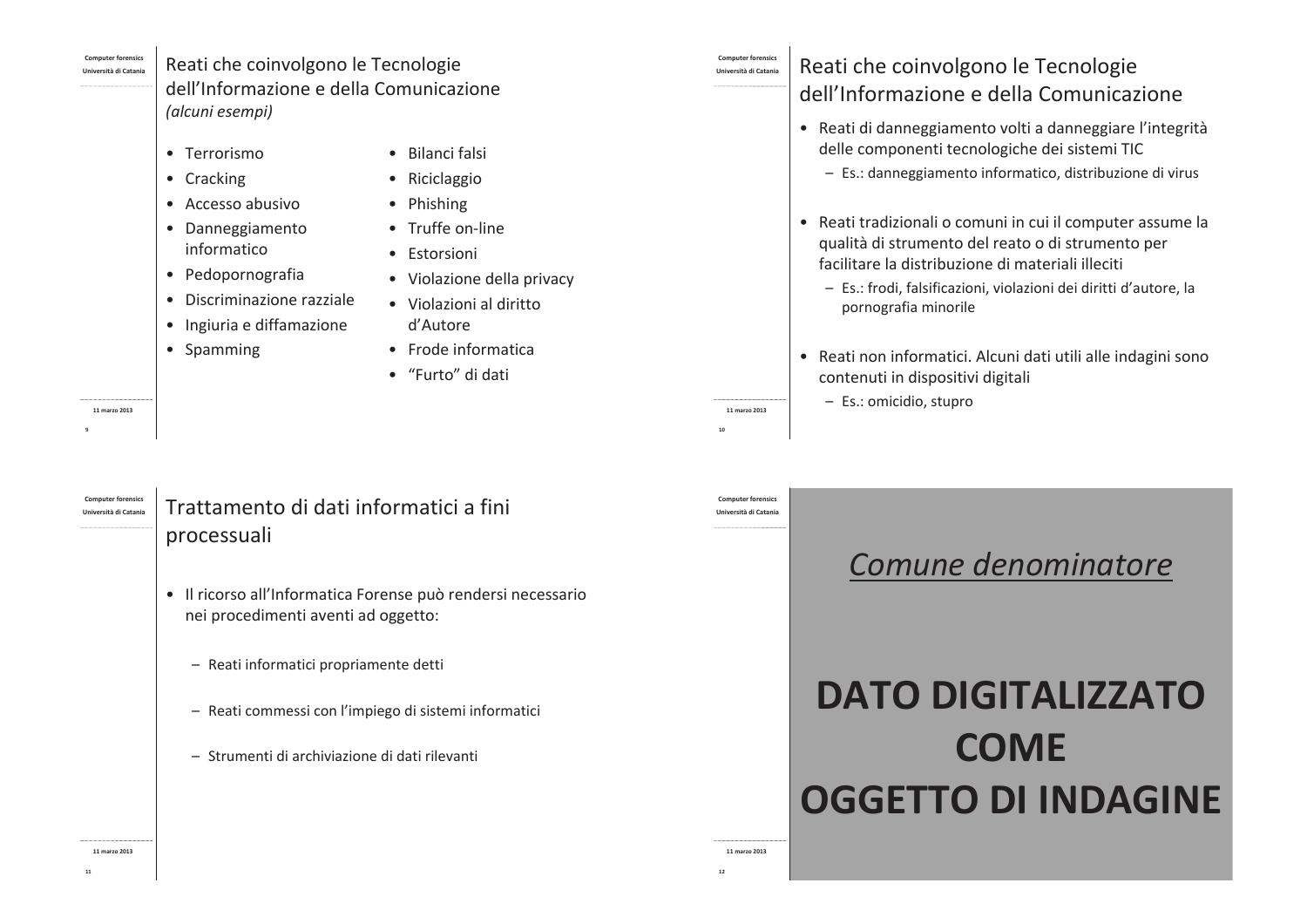11 marzo 2013

## Reati che coinvolgono le Tecnologie dell'Informazione e della Comunicazione (alcuni esempi)

- Terrorismo
- Cracking
- Accesso abusivo
- · Danneggiamento informatico

· Pedopornografia

- Bilanci falsi • Riciclaggio
- Phishing
- · Truffe on-line
- · Estorsioni
- Violazione della privacy
- · Discriminazione razziale
- · Ingiuria e diffamazione
- Spamming
- · Violazioni al diritto d'Autore
- - Frode informatica
	- "Furto" di dati

#### Reati che coinvolgono le Tecnologie l Iniversità di Catanis

# dell'Informazione e della Comunicazione

- · Reati di danneggiamento volti a danneggiare l'integrità delle componenti tecnologiche dei sistemi TIC
	- Es.: danneggiamento informatico, distribuzione di virus
- Reati tradizionali o comuni in cui il computer assume la qualità di strumento del reato o di strumento per facilitare la distribuzione di materiali illeciti
	- Es.: frodi, falsificazioni, violazioni dei diritti d'autore, la pornografia minorile
- Reati non informatici. Alcuni dati utili alle indagini sono contenuti in dispositivi digitali
	- Es.: omicidio, stupro

#### **Computer forensics** Trattamento di dati informatici a fini l Iniversità di Catani:

# processuali

- · Il ricorso all'Informatica Forense può rendersi necessario nei procedimenti aventi ad oggetto:
	- Reati informatici propriamente detti
	- Reati commessi con l'impiego di sistemi informatici
	- Strumenti di archiviazione di dati rilevanti

#### **Computer forensic** l Inivercità di Catania

11 marzo 2013

11 marzo 2013

# Comune denominatore

# **DATO DIGITALIZZATO COME OGGETTO DI INDAGINE**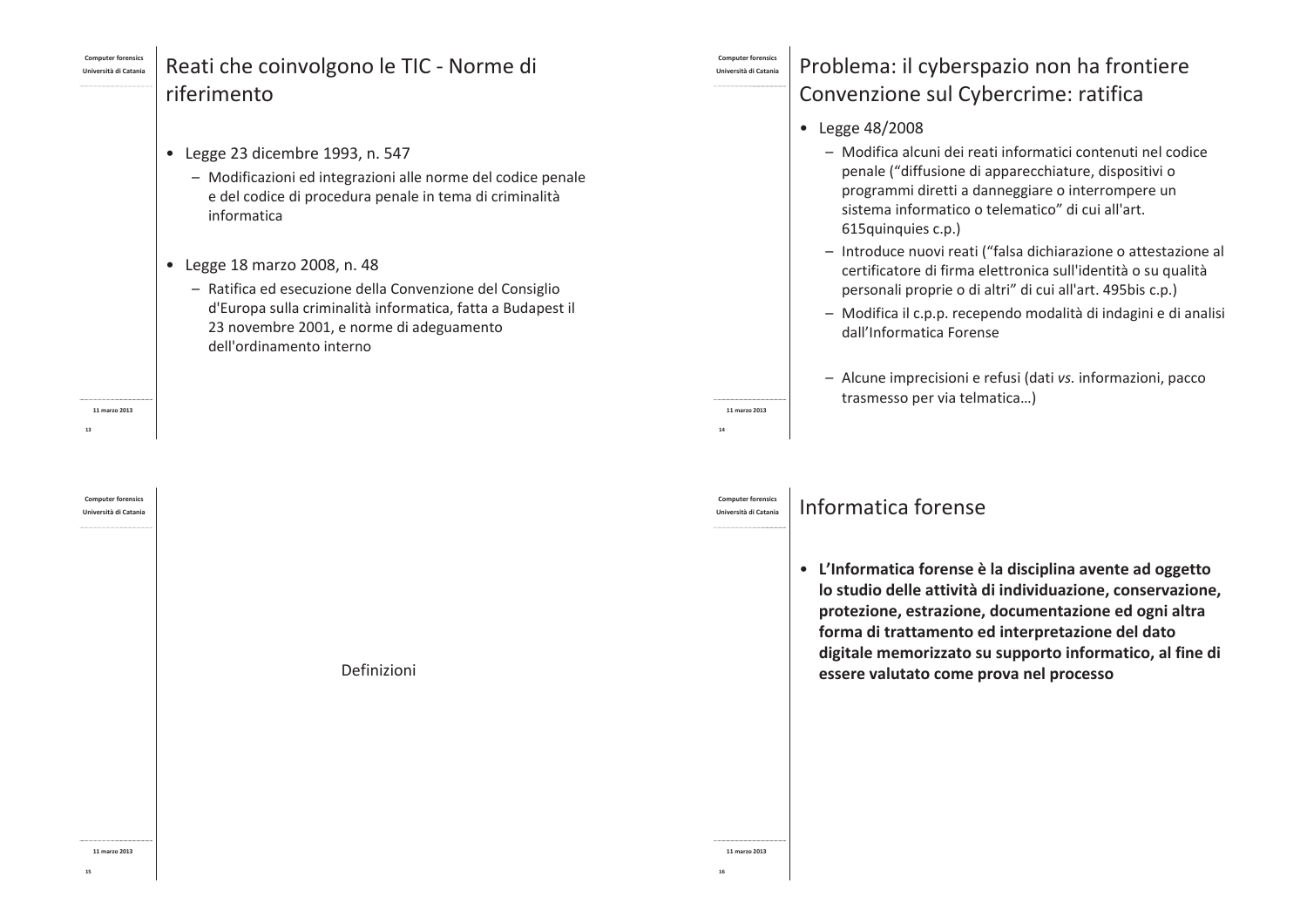### .<br>Università di Catan

# Reati che coinvolgono le TIC - Norme di riferimento

- Legge 23 dicembre 1993, n. 547
	- Modificazioni ed integrazioni alle norme del codice penale e del codice di procedura penale in tema di criminalità informatica
- Legge 18 marzo 2008, n. 48
	- Ratifica ed esecuzione della Convenzione del Consiglio d'Europa sulla criminalità informatica, fatta a Budapest il 23 novembre 2001, e norme di adeguamento dell'ordinamento interno

Definizioni

11 marzo 2013

l Iniversità di Catani:

.<br>Università di Catani

11 marzo 2013

**Università di Catanis** 

11 marzo 2013

 $14$ 

# Problema: il cyberspazio non ha frontiere Convenzione sul Cybercrime: ratifica

- Legge 48/2008
	- Modifica alcuni dei reati informatici contenuti nel codice penale ("diffusione di apparecchiature, dispositivi o programmi diretti a danneggiare o interrompere un sistema informatico o telematico" di cui all'art. 615quinquies c.p.)
	- Introduce nuovi reati ("falsa dichiarazione o attestazione al certificatore di firma elettronica sull'identità o su qualità personali proprie o di altri" di cui all'art. 495bis c.p.)
	- Modifica il c.p.p. recependo modalità di indagini e di analisi dall'Informatica Forense
	- Alcune imprecisioni e refusi (dati vs. informazioni, pacco trasmesso per via telmatica...)

# Informatica forense

• L'Informatica forense è la disciplina avente ad oggetto lo studio delle attività di individuazione, conservazione, protezione, estrazione, documentazione ed ogni altra forma di trattamento ed interpretazione del dato digitale memorizzato su supporto informatico, al fine di essere valutato come prova nel processo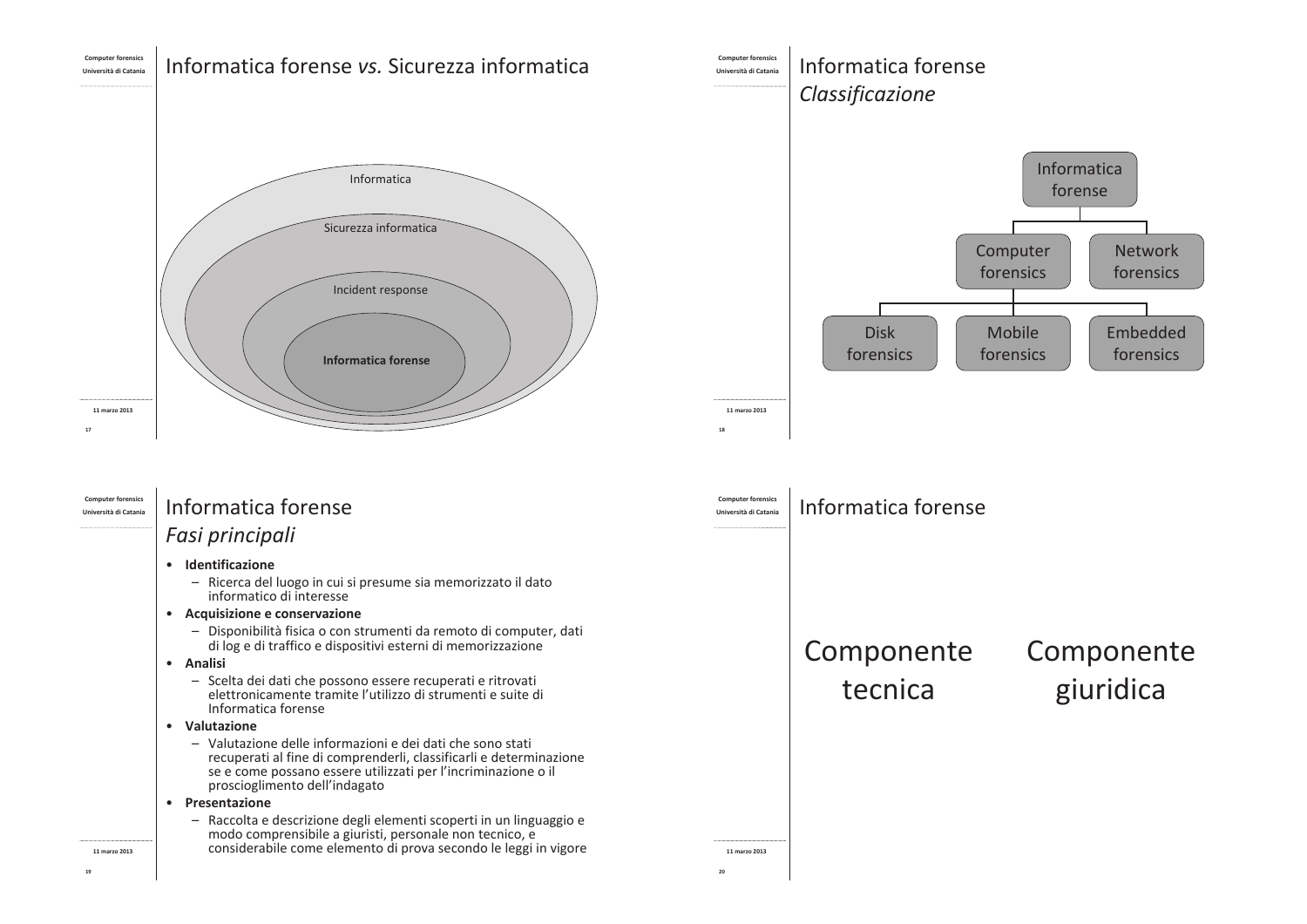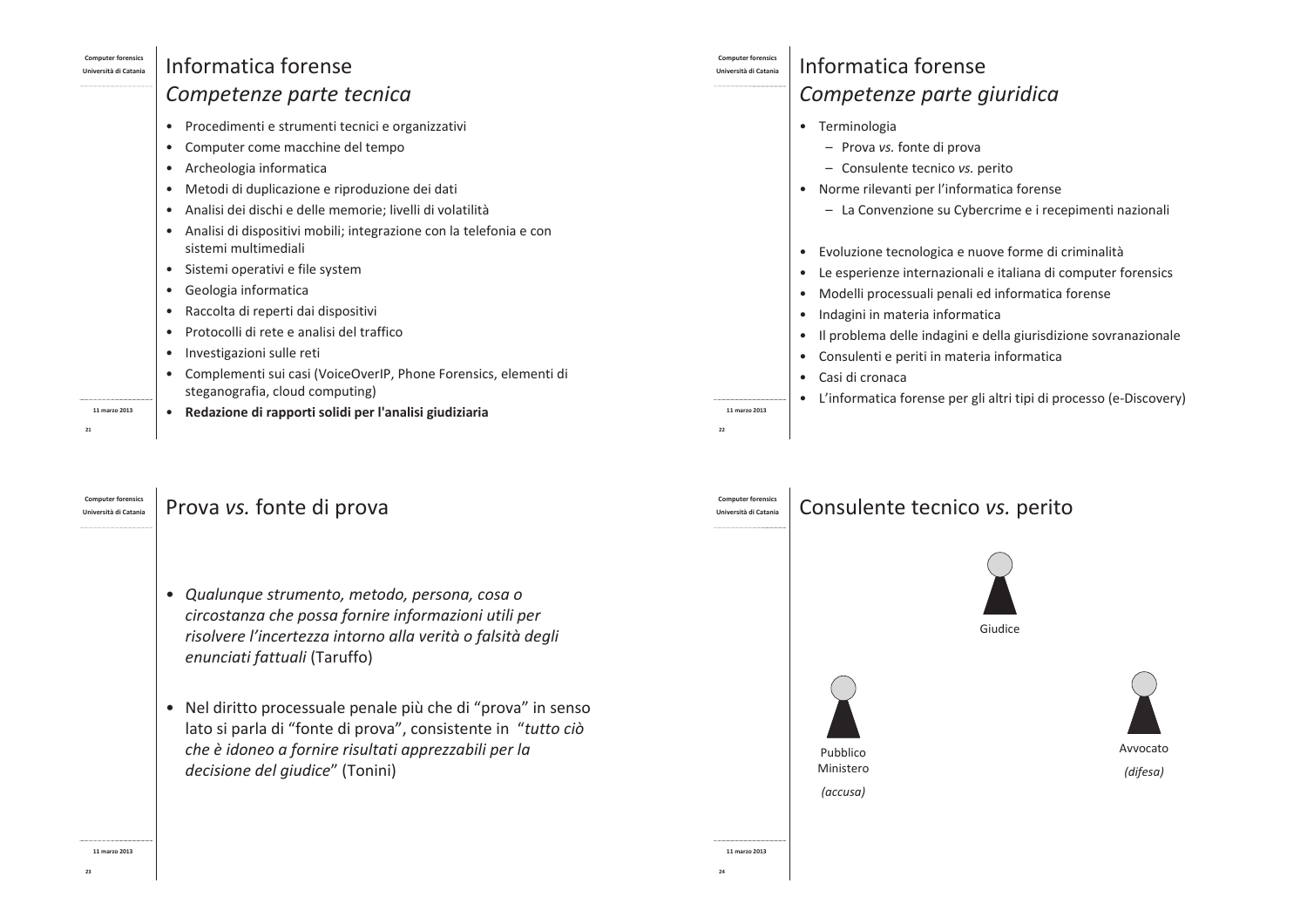| <b>Computer forensics</b><br>Università di Catania | Informatica forense                                                                                                                                                                                                                                                                                                                                                                                                                                                                                                                                                                                                                                                                                                                                                        | <b>Computer forensics</b><br>Università di Catania | Informatica forense                                                                                                                                                                                                                                                                                                                                                                                                                                                                                                                                                                                                                                                                                                   |
|----------------------------------------------------|----------------------------------------------------------------------------------------------------------------------------------------------------------------------------------------------------------------------------------------------------------------------------------------------------------------------------------------------------------------------------------------------------------------------------------------------------------------------------------------------------------------------------------------------------------------------------------------------------------------------------------------------------------------------------------------------------------------------------------------------------------------------------|----------------------------------------------------|-----------------------------------------------------------------------------------------------------------------------------------------------------------------------------------------------------------------------------------------------------------------------------------------------------------------------------------------------------------------------------------------------------------------------------------------------------------------------------------------------------------------------------------------------------------------------------------------------------------------------------------------------------------------------------------------------------------------------|
|                                                    | Competenze parte tecnica                                                                                                                                                                                                                                                                                                                                                                                                                                                                                                                                                                                                                                                                                                                                                   |                                                    | Competenze parte giuridica                                                                                                                                                                                                                                                                                                                                                                                                                                                                                                                                                                                                                                                                                            |
|                                                    | Procedimenti e strumenti tecnici e organizzativi<br>$\bullet$<br>Computer come macchine del tempo<br>$\bullet$<br>Archeologia informatica<br>$\bullet$<br>Metodi di duplicazione e riproduzione dei dati<br>$\bullet$<br>Analisi dei dischi e delle memorie; livelli di volatilità<br>$\bullet$<br>Analisi di dispositivi mobili; integrazione con la telefonia e con<br>$\bullet$<br>sistemi multimediali<br>Sistemi operativi e file system<br>$\bullet$<br>Geologia informatica<br>$\bullet$<br>Raccolta di reperti dai dispositivi<br>$\bullet$<br>Protocolli di rete e analisi del traffico<br>$\bullet$<br>Investigazioni sulle reti<br>$\bullet$<br>Complementi sui casi (VoiceOverIP, Phone Forensics, elementi di<br>$\bullet$<br>steganografia, cloud computing) |                                                    | • Terminologia<br>- Prova vs. fonte di prova<br>Consulente tecnico vs. perito<br>$\qquad \qquad -$<br>• Norme rilevanti per l'informatica forense<br>- La Convenzione su Cybercrime e i recepimenti nazionali<br>Evoluzione tecnologica e nuove forme di criminalità<br>$\bullet$<br>Le esperienze internazionali e italiana di computer forensics<br>$\bullet$<br>Modelli processuali penali ed informatica forense<br>$\bullet$<br>Indagini in materia informatica<br>Il problema delle indagini e della giurisdizione sovranazionale<br>$\bullet$<br>Consulenti e periti in materia informatica<br>$\bullet$<br>Casi di cronaca<br>$\bullet$<br>L'informatica forense per gli altri tipi di processo (e-Discovery) |
| 11 marzo 2013<br>21                                | Redazione di rapporti solidi per l'analisi giudiziaria                                                                                                                                                                                                                                                                                                                                                                                                                                                                                                                                                                                                                                                                                                                     | 11 marzo 2013<br>22                                |                                                                                                                                                                                                                                                                                                                                                                                                                                                                                                                                                                                                                                                                                                                       |
| <b>Computer forensics</b><br>Università di Catania | Prova <i>vs.</i> fonte di prova                                                                                                                                                                                                                                                                                                                                                                                                                                                                                                                                                                                                                                                                                                                                            | <b>Computer forensics</b><br>Università di Catania | Consulente tecnico vs. perito                                                                                                                                                                                                                                                                                                                                                                                                                                                                                                                                                                                                                                                                                         |

 $\bf{24}$ 

### | Prova *vs.* fonte di prova

- · Qualunque strumento, metodo, persona, cosa o circostanza che possa fornire informazioni utili per risolvere l'incertezza intorno alla verità o falsità degli enunciati fattuali (Taruffo)
- · Nel diritto processuale penale più che di "prova" in senso lato si parla di "fonte di prova", consistente in "tutto ciò che è idoneo a fornire risultati apprezzabili per la decisione del giudice" (Tonini)



 $23$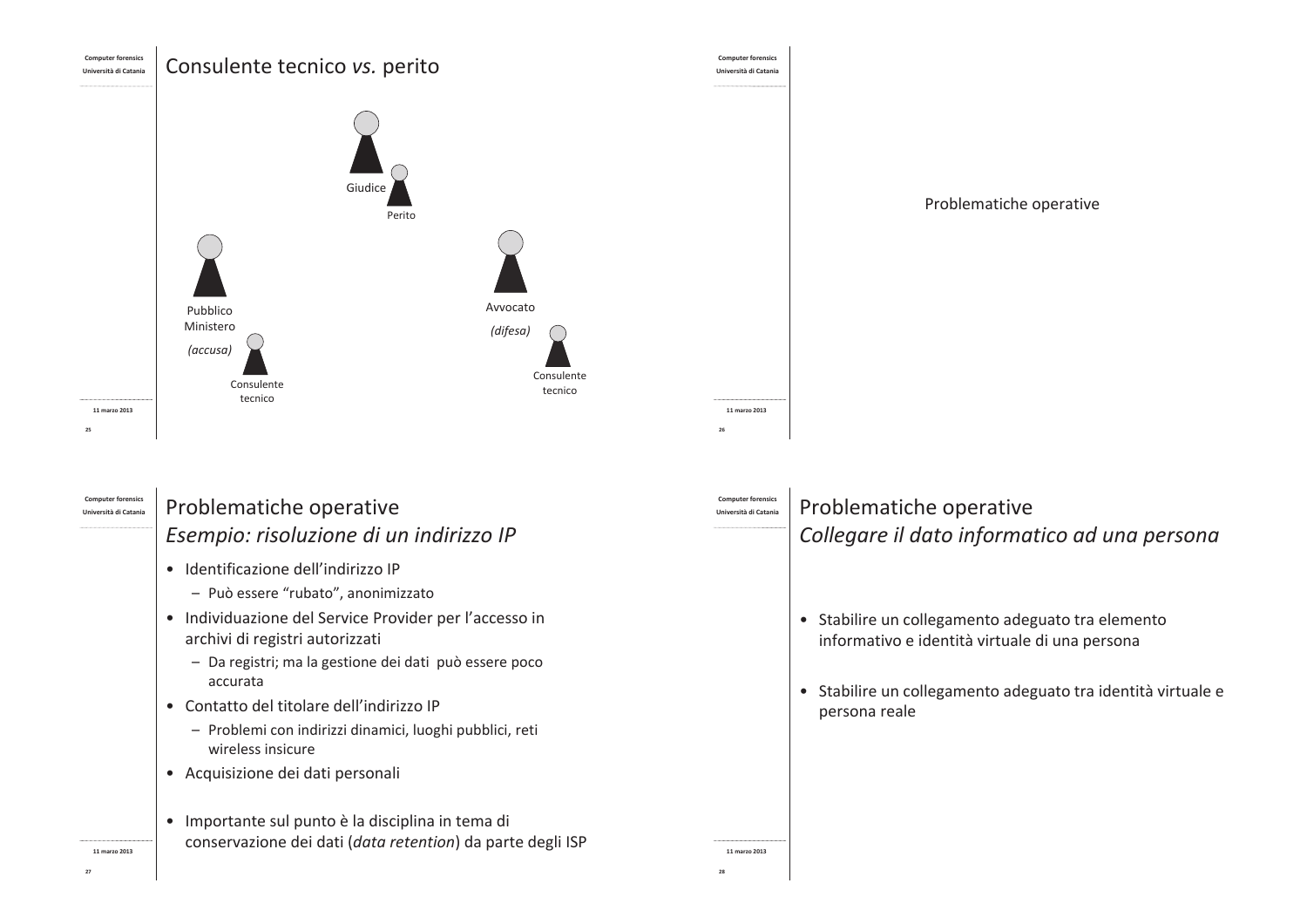

Problematiche operative

conservazione dei dati (data retention) da parte degli ISP

Problematiche operative Collegare il dato informatico ad una persona

· Stabilire un collegamento adeguato tra elemento informativo e identità virtuale di una persona

11 marzo 2013

· Stabilire un collegamento adeguato tra identità virtuale e persona reale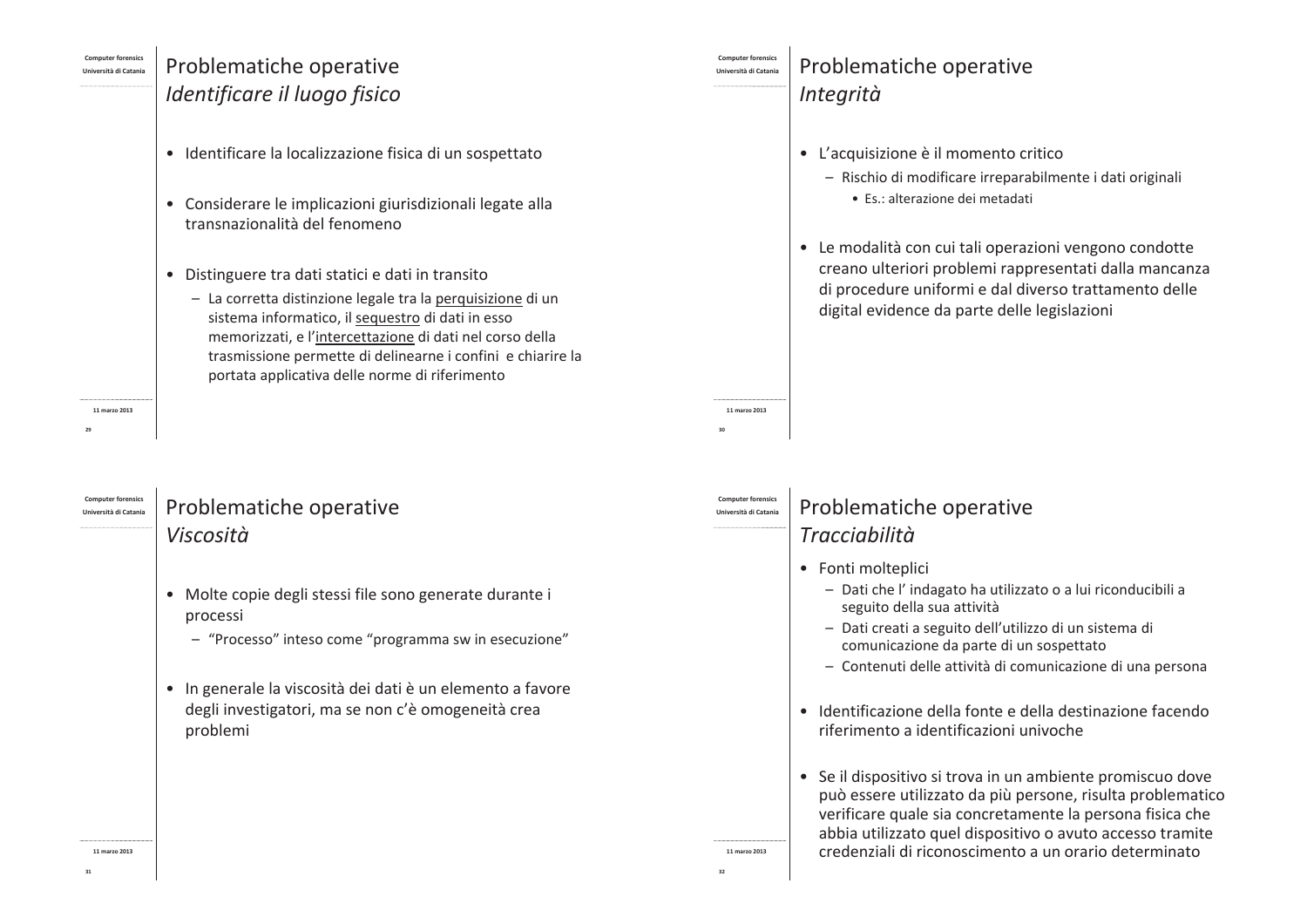## Problematiche operative Identificare il luogo fisico

- · Identificare la localizzazione fisica di un sospettato
- Considerare le implicazioni giurisdizionali legate alla transnazionalità del fenomeno
- · Distinguere tra dati statici e dati in transito
	- La corretta distinzione legale tra la perquisizione di un sistema informatico, il sequestro di dati in esso memorizzati, e l'intercettazione di dati nel corso della trasmissione permette di delinearne i confini e chiarire la portata applicativa delle norme di riferimento

11 marzo 2013

l Iniversità di Catani:

11 marzo 2013

# Problematiche operative Viscosità

- · Molte copie degli stessi file sono generate durante i processi
	- "Processo" inteso come "programma sw in esecuzione"
- · In generale la viscosità dei dati è un elemento a favore degli investigatori, ma se non c'è omogeneità crea problemi

# Problematiche operative Integrità

- L'acquisizione è il momento critico
	- Rischio di modificare irreparabilmente i dati originali
		- · Es.: alterazione dei metadati
- Le modalità con cui tali operazioni vengono condotte creano ulteriori problemi rappresentati dalla mancanza di procedure uniformi e dal diverso trattamento delle digital evidence da parte delle legislazioni

## Problematiche operative Tracciabilità

• Fonti molteplici

11 marzo 2013

l Inivercità di Catania

- Dati che l'indagato ha utilizzato o a lui riconducibili a seguito della sua attività
- Dati creati a seguito dell'utilizzo di un sistema di comunicazione da parte di un sospettato
- Contenuti delle attività di comunicazione di una persona
- · Identificazione della fonte e della destinazione facendo riferimento a identificazioni univoche
- Se il dispositivo si trova in un ambiente promiscuo dove può essere utilizzato da più persone, risulta problematico verificare quale sia concretamente la persona fisica che abbia utilizzato quel dispositivo o avuto accesso tramite credenziali di riconoscimento a un orario determinato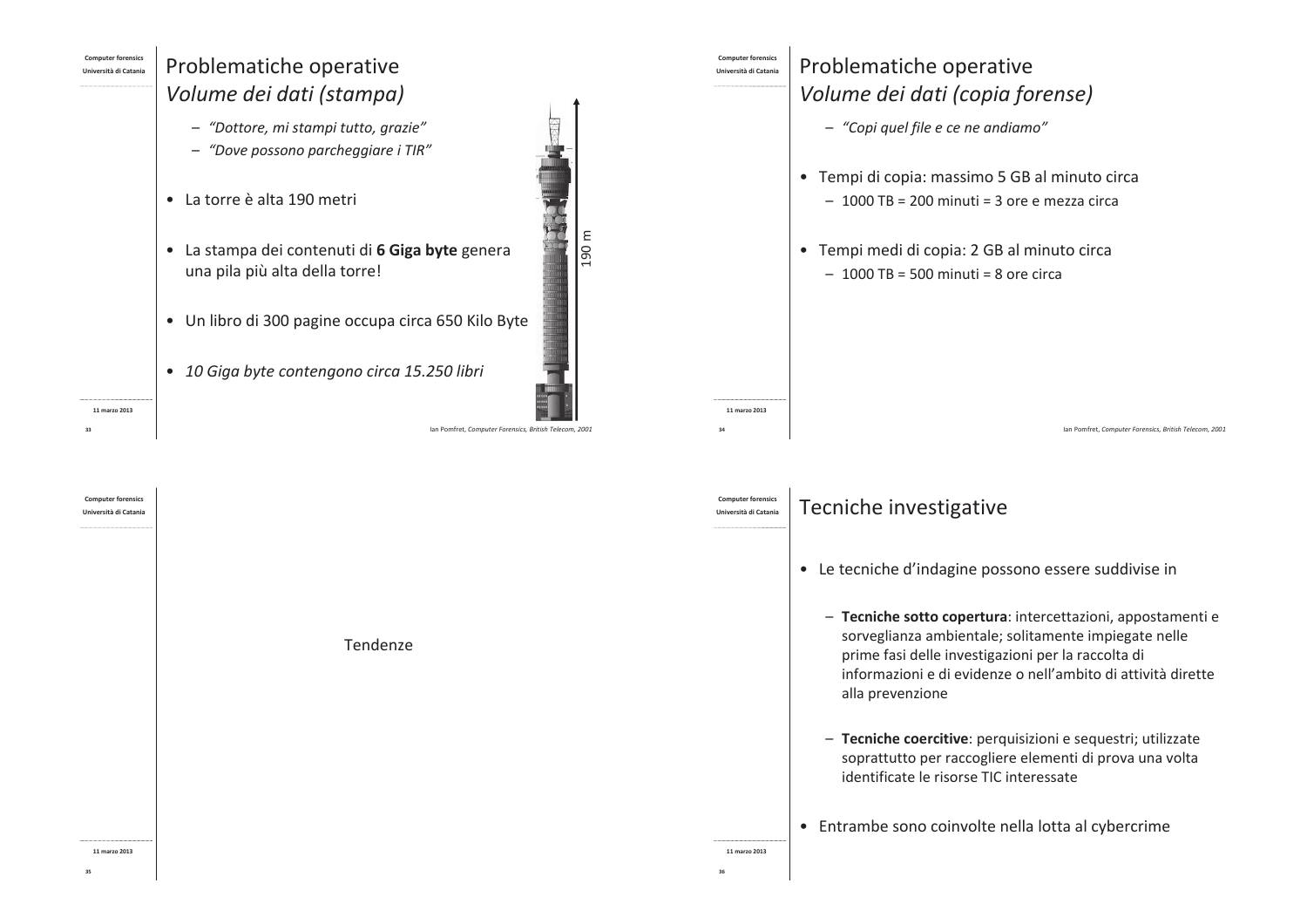## Problematiche operative Volume dei dati (stampa)

- "Dottore, mi stampi tutto, grazie"
- "Dove possono parcheggiare i TIR"
- La torre è alta 190 metri
- · La stampa dei contenuti di 6 Giga byte genera una pila più alta della torre!
- · Un libro di 300 pagine occupa circa 650 Kilo Byte
- · 10 Giga byte contengono circa 15.250 libri

11 marzo 2013



 $\frac{190 \text{ m}}{200 \text{ m}}$ 

Problematiche operative

Volume dei dati (copia forense)

• Tempi di copia: massimo 5 GB al minuto circa

 $-1000$  TB = 200 minuti = 3 ore e mezza circa

· Tempi medi di copia: 2 GB al minuto circa

 $-1000$  TB = 500 minuti = 8 ore circa

- "Copi quel file e ce ne andiamo"

ersità di Catani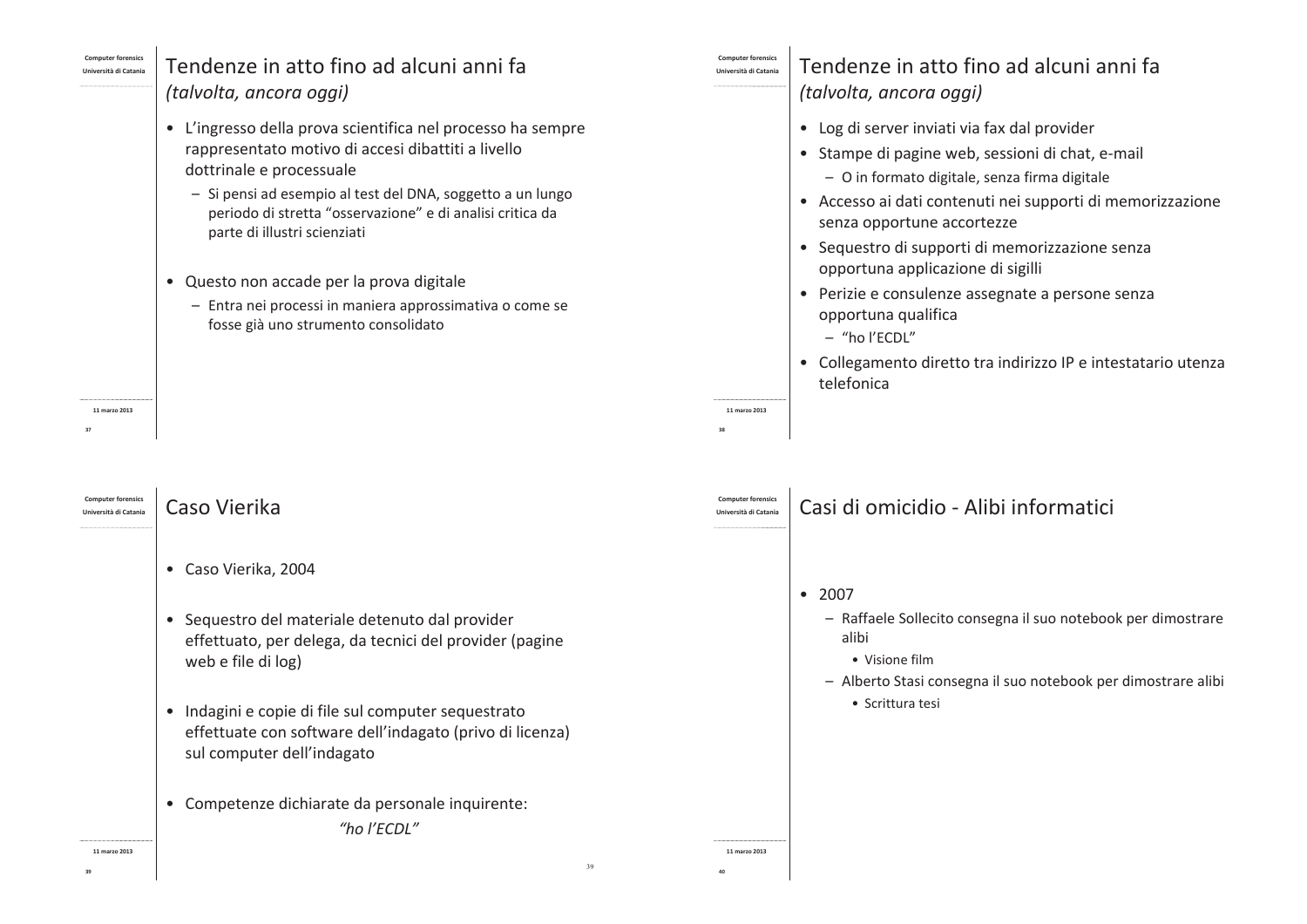| <b>Computer forensics</b> |  |  |
|---------------------------|--|--|
|                           |  |  |

# Tendenze in atto fino ad alcuni anni fa (talvolta, ancora oggi)

- L'ingresso della prova scientifica nel processo ha sempre rappresentato motivo di accesi dibattiti a livello dottrinale e processuale
	- Si pensi ad esempio al test del DNA, soggetto a un lungo periodo di stretta "osservazione" e di analisi critica da parte di illustri scienziati
- Questo non accade per la prova digitale
	- Entra nei processi in maniera approssimativa o come se fosse già uno strumento consolidato

11 marzo 2013

l Iniversità di Catani:

### Caso Vierika

- Caso Vierika, 2004
- · Sequestro del materiale detenuto dal provider effettuato, per delega, da tecnici del provider (pagine web e file di log)
- · Indagini e copie di file sul computer sequestrato effettuate con software dell'indagato (privo di licenza) sul computer dell'indagato
- Competenze dichiarate da personale inquirente: "ho l'ECDL"

11 marzo 2013

**Università di Catanis** 

11 marzo 2013

 $39$ 

## Tendenze in atto fino ad alcuni anni fa (talvolta, ancora oggi)

- Log di server inviati via fax dal provider
- Stampe di pagine web, sessioni di chat, e-mail - O in formato digitale, senza firma digitale
- Accesso ai dati contenuti nei supporti di memorizzazione senza opportune accortezze
- Sequestro di supporti di memorizzazione senza opportuna applicazione di sigilli
- Perizie e consulenze assegnate a persone senza opportuna qualifica
	- "ho l'ECDL"
- Collegamento diretto tra indirizzo IP e intestatario utenza telefonica

- Casi di omicidio Alibi informatici
- $2007$ 
	- Raffaele Sollecito consegna il suo notebook per dimostrare alibi
		- Visione film
	- Alberto Stasi consegna il suo notebook per dimostrare alibi
		- Scrittura tesi